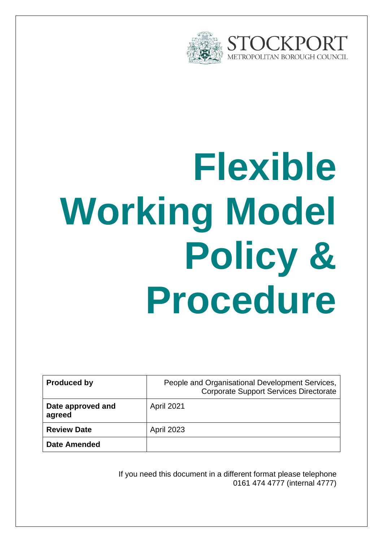

# **Flexible Working Model Policy & Procedure**

| <b>Produced by</b>          | People and Organisational Development Services,<br><b>Corporate Support Services Directorate</b> |
|-----------------------------|--------------------------------------------------------------------------------------------------|
| Date approved and<br>agreed | <b>April 2021</b>                                                                                |
| <b>Review Date</b>          | <b>April 2023</b>                                                                                |
| <b>Date Amended</b>         |                                                                                                  |

If you need this document in a different format please telephone 0161 474 4777 (internal 4777)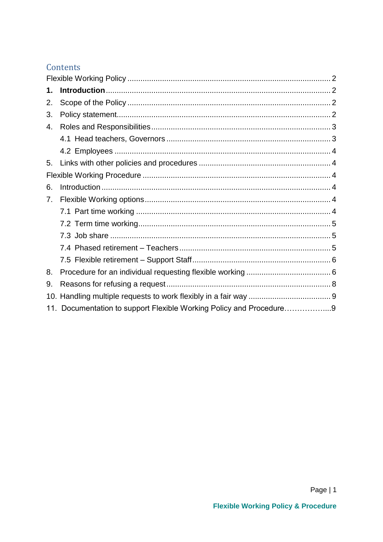# Contents

| 1. |                                                                     |  |
|----|---------------------------------------------------------------------|--|
| 2. |                                                                     |  |
| 3. |                                                                     |  |
| 4. |                                                                     |  |
|    |                                                                     |  |
|    |                                                                     |  |
| 5. |                                                                     |  |
|    |                                                                     |  |
| 6. |                                                                     |  |
| 7. |                                                                     |  |
|    |                                                                     |  |
|    |                                                                     |  |
|    |                                                                     |  |
|    |                                                                     |  |
|    |                                                                     |  |
| 8. |                                                                     |  |
| 9. |                                                                     |  |
|    |                                                                     |  |
|    | 11. Documentation to support Flexible Working Policy and Procedure9 |  |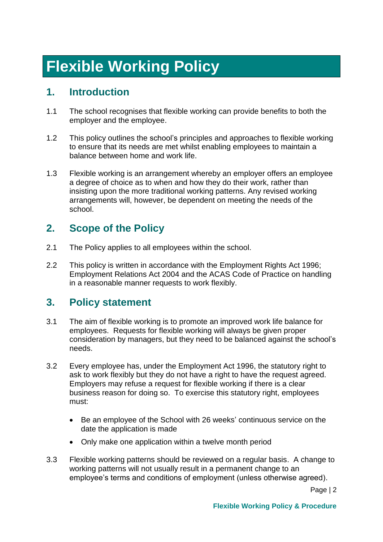# <span id="page-2-0"></span>**Flexible Working Policy**

# <span id="page-2-1"></span>**1. Introduction**

- 1.1 The school recognises that flexible working can provide benefits to both the employer and the employee.
- 1.2 This policy outlines the school's principles and approaches to flexible working to ensure that its needs are met whilst enabling employees to maintain a balance between home and work life.
- 1.3 Flexible working is an arrangement whereby an employer offers an employee a degree of choice as to when and how they do their work, rather than insisting upon the more traditional working patterns. Any revised working arrangements will, however, be dependent on meeting the needs of the school.

# <span id="page-2-2"></span>**2. Scope of the Policy**

- 2.1 The Policy applies to all employees within the school.
- 2.2 This policy is written in accordance with the Employment Rights Act 1996: Employment Relations Act 2004 and the ACAS Code of Practice on handling in a reasonable manner requests to work flexibly.

# <span id="page-2-3"></span>**3. Policy statement**

- 3.1 The aim of flexible working is to promote an improved work life balance for employees. Requests for flexible working will always be given proper consideration by managers, but they need to be balanced against the school's needs.
- 3.2 Every employee has, under the Employment Act 1996, the statutory right to ask to work flexibly but they do not have a right to have the request agreed. Employers may refuse a request for flexible working if there is a clear business reason for doing so. To exercise this statutory right, employees must:
	- Be an employee of the School with 26 weeks' continuous service on the date the application is made
	- Only make one application within a twelve month period
- 3.3 Flexible working patterns should be reviewed on a regular basis. A change to working patterns will not usually result in a permanent change to an employee's terms and conditions of employment (unless otherwise agreed).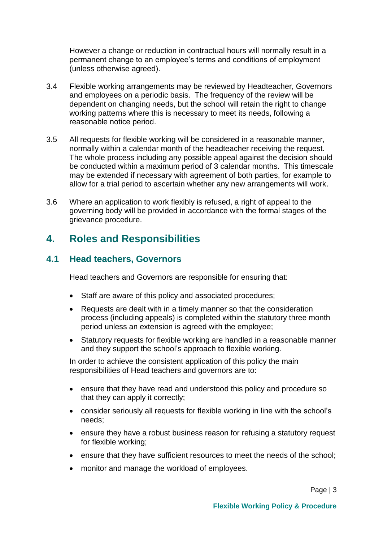However a change or reduction in contractual hours will normally result in a permanent change to an employee's terms and conditions of employment (unless otherwise agreed).

- 3.4 Flexible working arrangements may be reviewed by Headteacher, Governors and employees on a periodic basis. The frequency of the review will be dependent on changing needs, but the school will retain the right to change working patterns where this is necessary to meet its needs, following a reasonable notice period.
- 3.5 All requests for flexible working will be considered in a reasonable manner, normally within a calendar month of the headteacher receiving the request. The whole process including any possible appeal against the decision should be conducted within a maximum period of 3 calendar months. This timescale may be extended if necessary with agreement of both parties, for example to allow for a trial period to ascertain whether any new arrangements will work.
- 3.6 Where an application to work flexibly is refused, a right of appeal to the governing body will be provided in accordance with the formal stages of the grievance procedure.

# <span id="page-3-0"></span>**4. Roles and Responsibilities**

## <span id="page-3-1"></span>**4.1 Head teachers, Governors**

Head teachers and Governors are responsible for ensuring that:

- Staff are aware of this policy and associated procedures;
- Requests are dealt with in a timely manner so that the consideration process (including appeals) is completed within the statutory three month period unless an extension is agreed with the employee;
- Statutory requests for flexible working are handled in a reasonable manner and they support the school's approach to flexible working.

In order to achieve the consistent application of this policy the main responsibilities of Head teachers and governors are to:

- ensure that they have read and understood this policy and procedure so that they can apply it correctly;
- consider seriously all requests for flexible working in line with the school's needs;
- ensure they have a robust business reason for refusing a statutory request for flexible working;
- ensure that they have sufficient resources to meet the needs of the school;
- monitor and manage the workload of employees.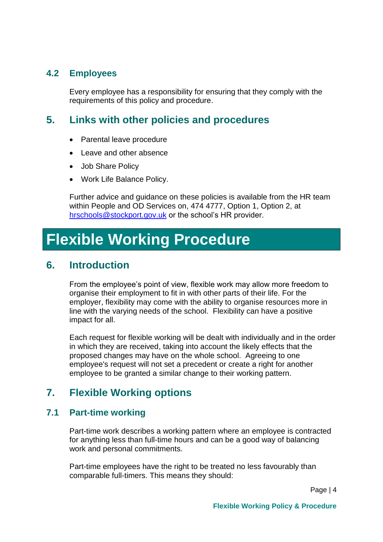# <span id="page-4-0"></span>**4.2 Employees**

Every employee has a responsibility for ensuring that they comply with the requirements of this policy and procedure.

# <span id="page-4-1"></span>**5. Links with other policies and procedures**

- Parental leave procedure
- Leave and other absence
- Job Share Policy
- Work Life Balance Policy.

Further advice and guidance on these policies is available from the HR team within People and OD Services on, 474 4777, Option 1, Option 2, at [hrschools@stockport.gov.uk](mailto:hrschools@stockport.gov.uk) or the school's HR provider.

# <span id="page-4-2"></span>**Flexible Working Procedure**

# <span id="page-4-3"></span>**6. Introduction**

From the employee's point of view, flexible work may allow more freedom to organise their employment to fit in with other parts of their life. For the employer, flexibility may come with the ability to organise resources more in line with the varying needs of the school. Flexibility can have a positive impact for all.

Each request for flexible working will be dealt with individually and in the order in which they are received, taking into account the likely effects that the proposed changes may have on the whole school. Agreeing to one employee's request will not set a precedent or create a right for another employee to be granted a similar change to their working pattern.

# <span id="page-4-4"></span>**7. Flexible Working options**

# <span id="page-4-5"></span>**7.1 Part-time working**

Part-time work describes a working pattern where an employee is contracted for anything less than full-time hours and can be a good way of balancing work and personal commitments.

Part-time employees have the right to be treated no less favourably than comparable full-timers. This means they should: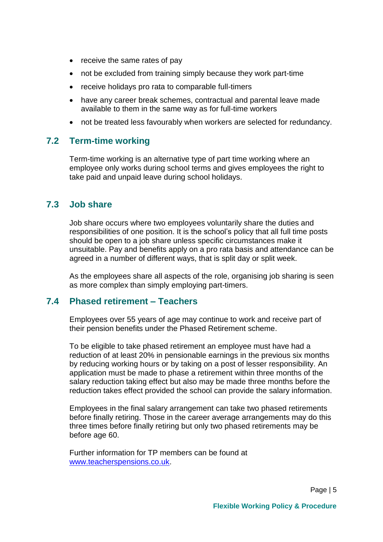- receive the same rates of pay
- not be excluded from training simply because they work part-time
- receive holidays pro rata to comparable full-timers
- have any career break schemes, contractual and parental leave made available to them in the same way as for full-time workers
- not be treated less favourably when workers are selected for redundancy.

# <span id="page-5-0"></span>**7.2 Term-time working**

Term-time working is an alternative type of part time working where an employee only works during school terms and gives employees the right to take paid and unpaid leave during school holidays.

## <span id="page-5-1"></span>**7.3 Job share**

Job share occurs where two employees voluntarily share the duties and responsibilities of one position. It is the school's policy that all full time posts should be open to a job share unless specific circumstances make it unsuitable. Pay and benefits apply on a pro rata basis and attendance can be agreed in a number of different ways, that is split day or split week.

As the employees share all aspects of the role, organising job sharing is seen as more complex than simply employing part-timers.

#### <span id="page-5-2"></span>**7.4 Phased retirement – Teachers**

Employees over 55 years of age may continue to work and receive part of their pension benefits under the Phased Retirement scheme.

To be eligible to take phased retirement an employee must have had a reduction of at least 20% in pensionable earnings in the previous six months by reducing working hours or by taking on a post of lesser responsibility. An application must be made to phase a retirement within three months of the salary reduction taking effect but also may be made three months before the reduction takes effect provided the school can provide the salary information.

Employees in the final salary arrangement can take two phased retirements before finally retiring. Those in the career average arrangements may do this three times before finally retiring but only two phased retirements may be before age 60.

Further information for TP members can be found at [www.teacherspensions.co.uk.](http://www.teacherspensions.co.uk/)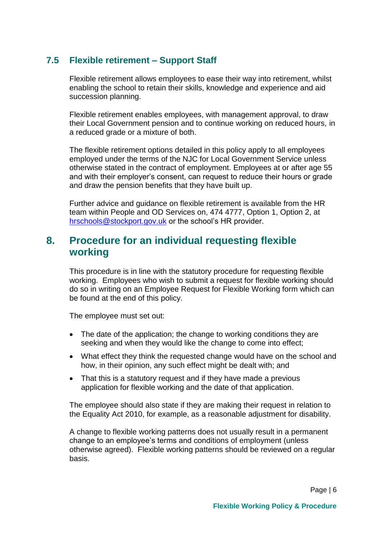# <span id="page-6-0"></span>**7.5 Flexible retirement – Support Staff**

Flexible retirement allows employees to ease their way into retirement, whilst enabling the school to retain their skills, knowledge and experience and aid succession planning.

Flexible retirement enables employees, with management approval, to draw their Local Government pension and to continue working on reduced hours, in a reduced grade or a mixture of both.

The flexible retirement options detailed in this policy apply to all employees employed under the terms of the NJC for Local Government Service unless otherwise stated in the contract of employment. Employees at or after age 55 and with their employer's consent, can request to reduce their hours or grade and draw the pension benefits that they have built up.

Further advice and guidance on flexible retirement is available from the HR team within People and OD Services on, 474 4777, Option 1, Option 2, at [hrschools@stockport.gov.uk](mailto:hrschools@stockport.gov.uk) or the school's HR provider.

# <span id="page-6-1"></span>**8. Procedure for an individual requesting flexible working**

This procedure is in line with the statutory procedure for requesting flexible working. Employees who wish to submit a request for flexible working should do so in writing on an Employee Request for Flexible Working form which can be found at the end of this policy.

The employee must set out:

- The date of the application; the change to working conditions they are seeking and when they would like the change to come into effect;
- What effect they think the requested change would have on the school and how, in their opinion, any such effect might be dealt with; and
- That this is a statutory request and if they have made a previous application for flexible working and the date of that application.

The employee should also state if they are making their request in relation to the Equality Act 2010, for example, as a reasonable adjustment for disability.

A change to flexible working patterns does not usually result in a permanent change to an employee's terms and conditions of employment (unless otherwise agreed). Flexible working patterns should be reviewed on a regular basis.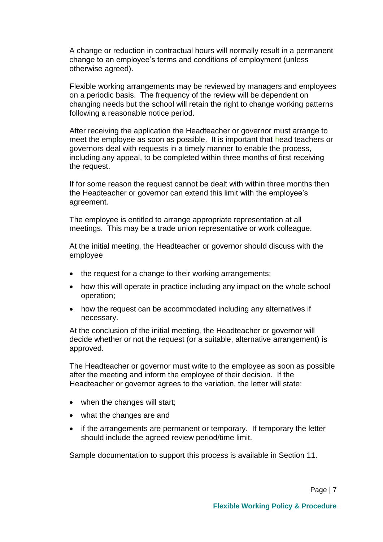A change or reduction in contractual hours will normally result in a permanent change to an employee's terms and conditions of employment (unless otherwise agreed).

Flexible working arrangements may be reviewed by managers and employees on a periodic basis. The frequency of the review will be dependent on changing needs but the school will retain the right to change working patterns following a reasonable notice period.

After receiving the application the Headteacher or governor must arrange to meet the employee as soon as possible. It is important that head teachers or governors deal with requests in a timely manner to enable the process, including any appeal, to be completed within three months of first receiving the request.

If for some reason the request cannot be dealt with within three months then the Headteacher or governor can extend this limit with the employee's agreement.

The employee is entitled to arrange appropriate representation at all meetings. This may be a trade union representative or work colleague.

At the initial meeting, the Headteacher or governor should discuss with the employee

- the request for a change to their working arrangements;
- how this will operate in practice including any impact on the whole school operation;
- how the request can be accommodated including any alternatives if necessary.

At the conclusion of the initial meeting, the Headteacher or governor will decide whether or not the request (or a suitable, alternative arrangement) is approved.

The Headteacher or governor must write to the employee as soon as possible after the meeting and inform the employee of their decision. If the Headteacher or governor agrees to the variation, the letter will state:

- when the changes will start;
- what the changes are and
- if the arrangements are permanent or temporary. If temporary the letter should include the agreed review period/time limit.

Sample documentation to support this process is available in Section 11.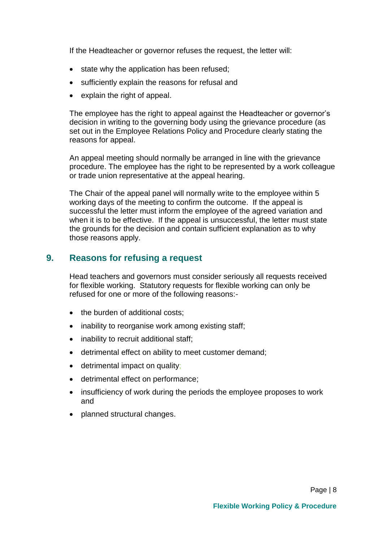If the Headteacher or governor refuses the request, the letter will:

- state why the application has been refused;
- sufficiently explain the reasons for refusal and
- explain the right of appeal.

The employee has the right to appeal against the Headteacher or governor's decision in writing to the governing body using the grievance procedure (as set out in the Employee Relations Policy and Procedure clearly stating the reasons for appeal.

An appeal meeting should normally be arranged in line with the grievance procedure. The employee has the right to be represented by a work colleague or trade union representative at the appeal hearing.

The Chair of the appeal panel will normally write to the employee within 5 working days of the meeting to confirm the outcome. If the appeal is successful the letter must inform the employee of the agreed variation and when it is to be effective. If the appeal is unsuccessful, the letter must state the grounds for the decision and contain sufficient explanation as to why those reasons apply.

## <span id="page-8-0"></span>**9. Reasons for refusing a request**

Head teachers and governors must consider seriously all requests received for flexible working. Statutory requests for flexible working can only be refused for one or more of the following reasons:-

- the burden of additional costs;
- inability to reorganise work among existing staff;
- inability to recruit additional staff;
- detrimental effect on ability to meet customer demand;
- detrimental impact on quality;
- detrimental effect on performance;
- insufficiency of work during the periods the employee proposes to work and
- planned structural changes.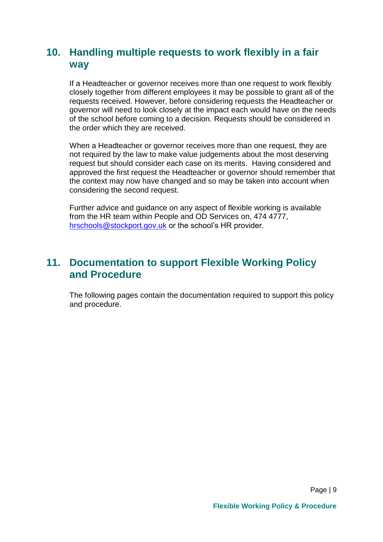# <span id="page-9-0"></span>**10. Handling multiple requests to work flexibly in a fair way**

If a Headteacher or governor receives more than one request to work flexibly closely together from different employees it may be possible to grant all of the requests received. However, before considering requests the Headteacher or governor will need to look closely at the impact each would have on the needs of the school before coming to a decision. Requests should be considered in the order which they are received.

When a Headteacher or governor receives more than one request, they are not required by the law to make value judgements about the most deserving request but should consider each case on its merits. Having considered and approved the first request the Headteacher or governor should remember that the context may now have changed and so may be taken into account when considering the second request.

Further advice and guidance on any aspect of flexible working is available from the HR team within People and OD Services on, 474 4777, [hrschools@stockport.gov.uk](mailto:hrschools@stockport.gov.uk) or the school's HR provider.

# **11. Documentation to support Flexible Working Policy and Procedure**

The following pages contain the documentation required to support this policy and procedure.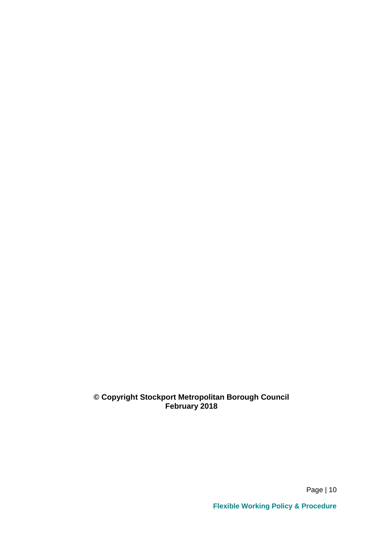#### **© Copyright Stockport Metropolitan Borough Council February 2018**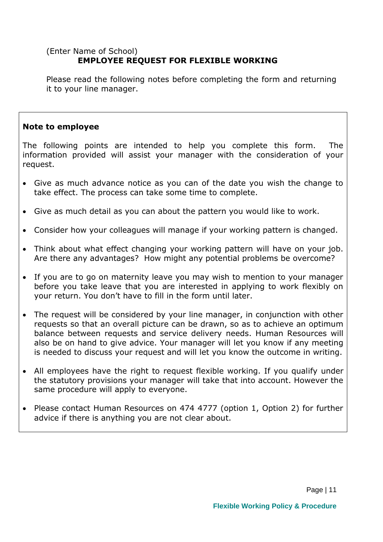## (Enter Name of School) **EMPLOYEE REQUEST FOR FLEXIBLE WORKING**

Please read the following notes before completing the form and returning it to your line manager.

#### **Note to employee**

The following points are intended to help you complete this form. The information provided will assist your manager with the consideration of your request.

- Give as much advance notice as you can of the date you wish the change to take effect. The process can take some time to complete.
- Give as much detail as you can about the pattern you would like to work.
- Consider how your colleagues will manage if your working pattern is changed.
- Think about what effect changing your working pattern will have on your job. Are there any advantages? How might any potential problems be overcome?
- If you are to go on maternity leave you may wish to mention to your manager before you take leave that you are interested in applying to work flexibly on your return. You don't have to fill in the form until later.
- The request will be considered by your line manager, in conjunction with other requests so that an overall picture can be drawn, so as to achieve an optimum balance between requests and service delivery needs. Human Resources will also be on hand to give advice. Your manager will let you know if any meeting is needed to discuss your request and will let you know the outcome in writing.
- All employees have the right to request flexible working. If you qualify under the statutory provisions your manager will take that into account. However the same procedure will apply to everyone.
- Please contact Human Resources on 474 4777 (option 1, Option 2) for further advice if there is anything you are not clear about.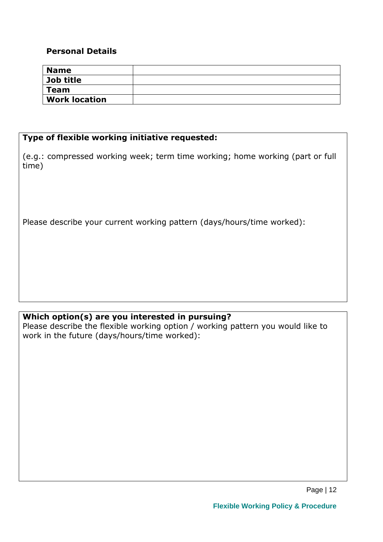#### **Personal Details**

| <b>Name</b>          |  |
|----------------------|--|
| Job title            |  |
| <b>Team</b>          |  |
| <b>Work location</b> |  |

#### **Type of flexible working initiative requested:**

(e.g.: compressed working week; term time working; home working (part or full time)

Please describe your current working pattern (days/hours/time worked):

# **Which option(s) are you interested in pursuing?**

Please describe the flexible working option / working pattern you would like to work in the future (days/hours/time worked):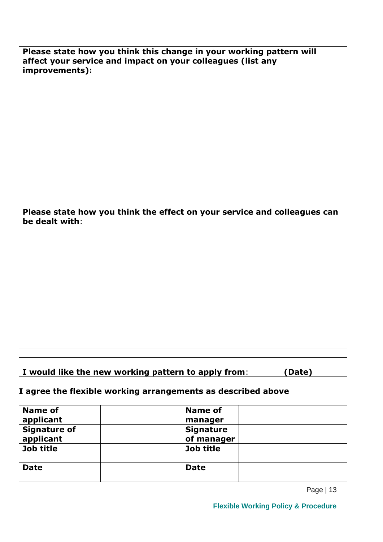**Please state how you think this change in your working pattern will affect your service and impact on your colleagues (list any improvements):**

**Please state how you think the effect on your service and colleagues can be dealt with**:

# **I would like the new working pattern to apply from**: **(Date)**

#### **I agree the flexible working arrangements as described above**

| Name of             | <b>Name of</b>   |
|---------------------|------------------|
| applicant           | manager          |
| <b>Signature of</b> | <b>Signature</b> |
| applicant           | of manager       |
| Job title           | Job title        |
|                     |                  |
| <b>Date</b>         | <b>Date</b>      |
|                     |                  |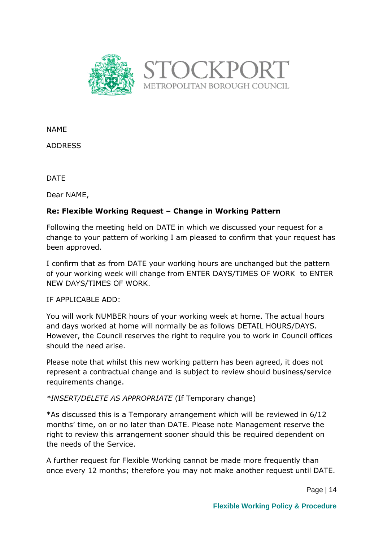

NAME

ADDRESS

DATE

Dear NAME,

#### **Re: Flexible Working Request – Change in Working Pattern**

Following the meeting held on DATE in which we discussed your request for a change to your pattern of working I am pleased to confirm that your request has been approved.

I confirm that as from DATE your working hours are unchanged but the pattern of your working week will change from ENTER DAYS/TIMES OF WORK to ENTER NEW DAYS/TIMES OF WORK.

IF APPLICABLE ADD:

You will work NUMBER hours of your working week at home. The actual hours and days worked at home will normally be as follows DETAIL HOURS/DAYS. However, the Council reserves the right to require you to work in Council offices should the need arise.

Please note that whilst this new working pattern has been agreed, it does not represent a contractual change and is subject to review should business/service requirements change.

*\*INSERT/DELETE AS APPROPRIATE* (If Temporary change)

\*As discussed this is a Temporary arrangement which will be reviewed in 6/12 months' time, on or no later than DATE. Please note Management reserve the right to review this arrangement sooner should this be required dependent on the needs of the Service.

A further request for Flexible Working cannot be made more frequently than once every 12 months; therefore you may not make another request until DATE.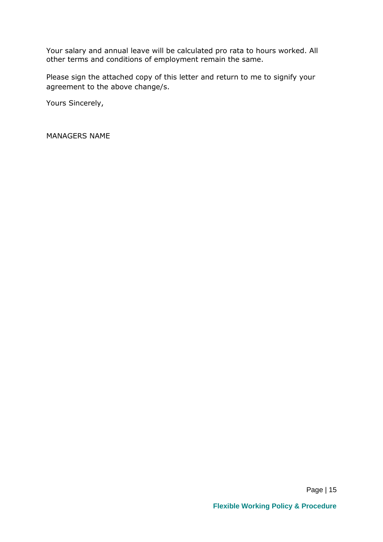Your salary and annual leave will be calculated pro rata to hours worked. All other terms and conditions of employment remain the same.

Please sign the attached copy of this letter and return to me to signify your agreement to the above change/s.

Yours Sincerely,

MANAGERS NAME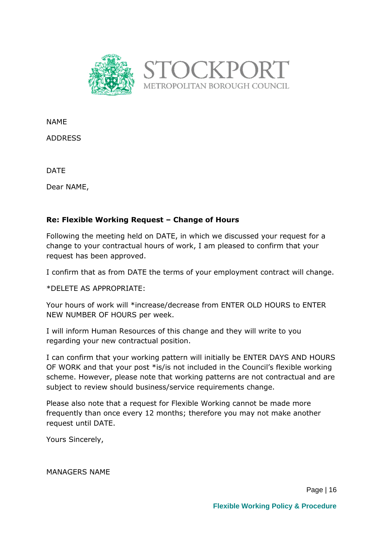

NAME

ADDRESS

DATE

Dear NAME,

#### **Re: Flexible Working Request – Change of Hours**

Following the meeting held on DATE, in which we discussed your request for a change to your contractual hours of work, I am pleased to confirm that your request has been approved.

I confirm that as from DATE the terms of your employment contract will change.

\*DELETE AS APPROPRIATE:

Your hours of work will \*increase/decrease from ENTER OLD HOURS to ENTER NEW NUMBER OF HOURS per week.

I will inform Human Resources of this change and they will write to you regarding your new contractual position.

I can confirm that your working pattern will initially be ENTER DAYS AND HOURS OF WORK and that your post \*is/is not included in the Council's flexible working scheme. However, please note that working patterns are not contractual and are subject to review should business/service requirements change.

Please also note that a request for Flexible Working cannot be made more frequently than once every 12 months; therefore you may not make another request until DATE.

Yours Sincerely,

MANAGERS NAME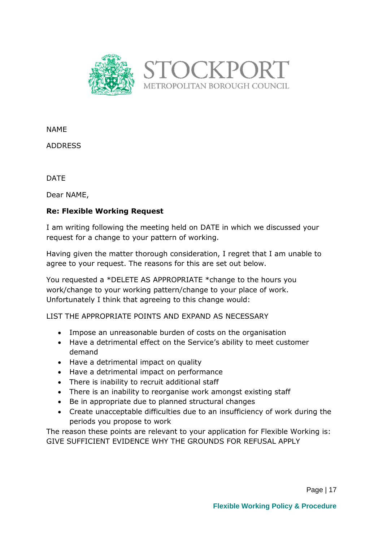

NAME

ADDRESS

DATE

Dear NAME,

#### **Re: Flexible Working Request**

I am writing following the meeting held on DATE in which we discussed your request for a change to your pattern of working.

Having given the matter thorough consideration, I regret that I am unable to agree to your request. The reasons for this are set out below.

You requested a \*DELETE AS APPROPRIATE \*change to the hours you work/change to your working pattern/change to your place of work. Unfortunately I think that agreeing to this change would:

LIST THE APPROPRIATE POINTS AND EXPAND AS NECESSARY

- Impose an unreasonable burden of costs on the organisation
- Have a detrimental effect on the Service's ability to meet customer demand
- Have a detrimental impact on quality
- Have a detrimental impact on performance
- There is inability to recruit additional staff
- There is an inability to reorganise work amongst existing staff
- Be in appropriate due to planned structural changes
- Create unacceptable difficulties due to an insufficiency of work during the periods you propose to work

The reason these points are relevant to your application for Flexible Working is: GIVE SUFFICIENT EVIDENCE WHY THE GROUNDS FOR REFUSAL APPLY